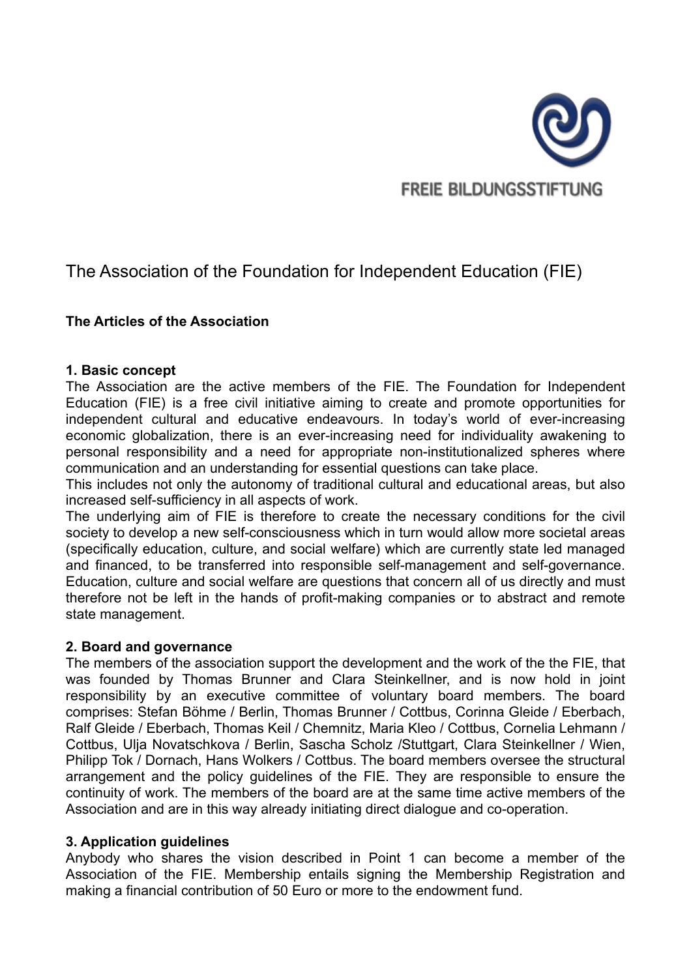

# The Association of the Foundation for Independent Education (FIE)

## **The Articles of the Association**

## **1. Basic concept**

The Association are the active members of the FIE. The Foundation for Independent Education (FIE) is a free civil initiative aiming to create and promote opportunities for independent cultural and educative endeavours. In today's world of ever-increasing economic globalization, there is an ever-increasing need for individuality awakening to personal responsibility and a need for appropriate non-institutionalized spheres where communication and an understanding for essential questions can take place.

This includes not only the autonomy of traditional cultural and educational areas, but also increased self-sufficiency in all aspects of work.

The underlying aim of FIE is therefore to create the necessary conditions for the civil society to develop a new self-consciousness which in turn would allow more societal areas (specifically education, culture, and social welfare) which are currently state led managed and financed, to be transferred into responsible self-management and self-governance. Education, culture and social welfare are questions that concern all of us directly and must therefore not be left in the hands of profit-making companies or to abstract and remote state management.

## **2. Board and governance**

The members of the association support the development and the work of the the FIE, that was founded by Thomas Brunner and Clara Steinkellner, and is now hold in joint responsibility by an executive committee of voluntary board members. The board comprises: Stefan Böhme / Berlin, Thomas Brunner / Cottbus, Corinna Gleide / Eberbach, Ralf Gleide / Eberbach, Thomas Keil / Chemnitz, Maria Kleo / Cottbus, Cornelia Lehmann / Cottbus, Ulja Novatschkova / Berlin, Sascha Scholz /Stuttgart, Clara Steinkellner / Wien, Philipp Tok / Dornach, Hans Wolkers / Cottbus. The board members oversee the structural arrangement and the policy guidelines of the FIE. They are responsible to ensure the continuity of work. The members of the board are at the same time active members of the Association and are in this way already initiating direct dialogue and co-operation.

## **3. Application guidelines**

Anybody who shares the vision described in Point 1 can become a member of the Association of the FIE. Membership entails signing the Membership Registration and making a financial contribution of 50 Euro or more to the endowment fund.